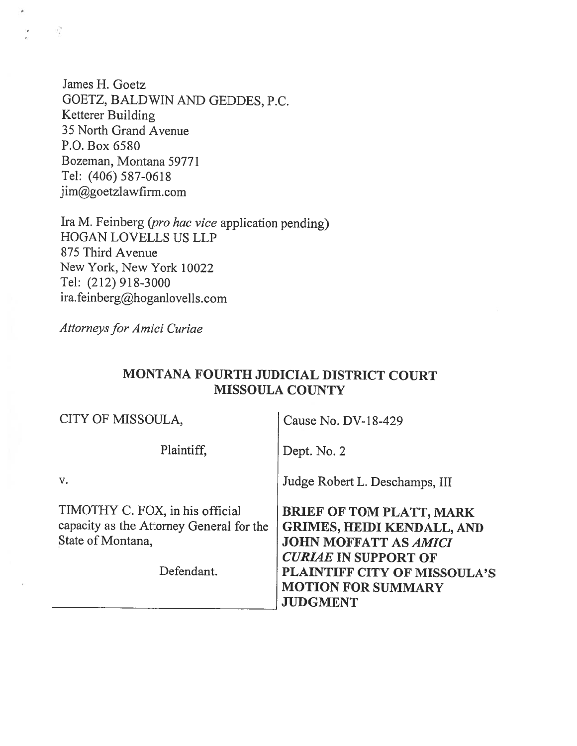James H. Goetz GOETZ, BALDWIN AND GEDDES, P.C. Ketterer Building 35 North Grand Avenue P.O. Box 6580 Bozeman, Montana 59771 Tel: (406) 587-0618 jim@goetzlawfirm.com

Ira M. Feinberg (pro hac vice application pending) HOGAN LOVELLS US LLP 875 Third Avenue New York, New York 10022 Tel: (212) 918-3000 ira.feinberg@hoganlovells.com

Attorneys for Amici Curiae

 $\overline{\phantom{a}}$ 

 $\sim 10$ 

#### MONTANA FOURTH JUDICIAL DISTRICT COURT MISSOULA COUNTY

| CITY OF MISSOULA,                                                                                              | Cause No. DV-18-429                                                                                                                                                                                                        |
|----------------------------------------------------------------------------------------------------------------|----------------------------------------------------------------------------------------------------------------------------------------------------------------------------------------------------------------------------|
| Plaintiff,                                                                                                     | Dept. No. 2                                                                                                                                                                                                                |
| v.                                                                                                             | Judge Robert L. Deschamps, III                                                                                                                                                                                             |
| TIMOTHY C. FOX, in his official<br>capacity as the Attorney General for the<br>State of Montana,<br>Defendant. | <b>BRIEF OF TOM PLATT, MARK</b><br><b>GRIMES, HEIDI KENDALL, AND</b><br><b>JOHN MOFFATT AS AMICI</b><br><b>CURIAE IN SUPPORT OF</b><br><b>PLAINTIFF CITY OF MISSOULA'S</b><br><b>MOTION FOR SUMMARY</b><br><b>JUDGMENT</b> |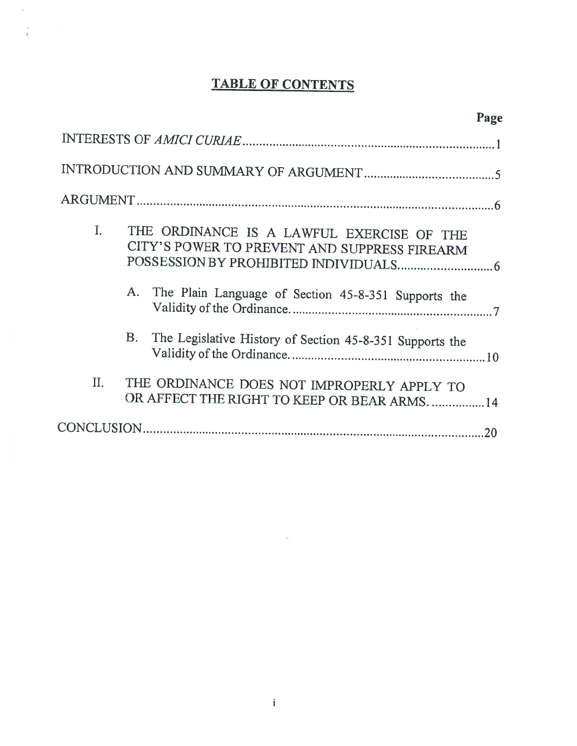# TABLE OF CONTENTS

 $\tilde{\mathbf{z}}$ 

 $\frac{1}{1}$ 

| I. | THE ORDINANCE IS A LAWFUL EXERCISE OF THE<br>CITY'S POWER TO PREVENT AND SUPPRESS FIREARM   |    |
|----|---------------------------------------------------------------------------------------------|----|
|    | A. The Plain Language of Section 45-8-351 Supports the                                      |    |
|    | <b>B.</b><br>The Legislative History of Section 45-8-351 Supports the                       |    |
| Π. | THE ORDINANCE DOES NOT IMPROPERLY APPLY TO<br>OR AFFECT THE RIGHT TO KEEP OR BEAR ARMS.  14 |    |
|    |                                                                                             | 20 |

## Page

 $\widetilde{\mathbf{e}}$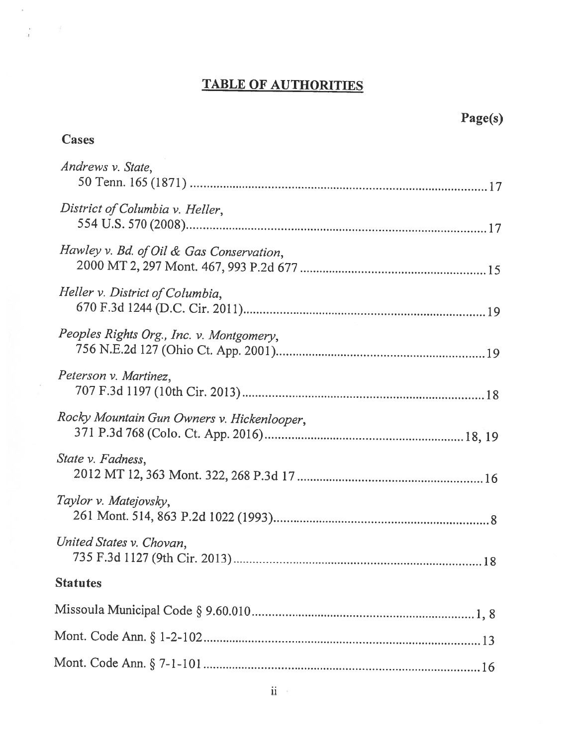## TABLE OF AUTHORITIES

Cases

 $\hat{E}$ 

 $\frac{1}{2}$  ,  $\frac{1}{2}$ 

 $\sim 100$ 

| Andrews v. State,                          |
|--------------------------------------------|
| District of Columbia v. Heller,            |
| Hawley v. Bd. of Oil & Gas Conservation,   |
| Heller v. District of Columbia,            |
| Peoples Rights Org., Inc. v. Montgomery,   |
| Peterson v. Martinez,                      |
| Rocky Mountain Gun Owners v. Hickenlooper, |
| State v. Fadness,                          |
| Taylor v. Matejovsky,                      |
| United States v. Chovan,                   |
| <b>Statutes</b>                            |
|                                            |
|                                            |
|                                            |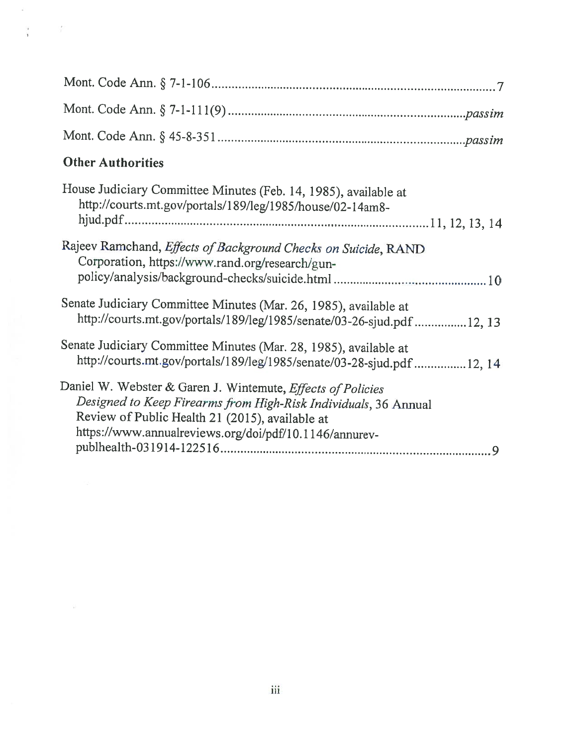| <b>Other Authorities</b>                                                                                                                                                                                                                           |
|----------------------------------------------------------------------------------------------------------------------------------------------------------------------------------------------------------------------------------------------------|
| House Judiciary Committee Minutes (Feb. 14, 1985), available at<br>http://courts.mt.gov/portals/189/leg/1985/house/02-14am8-                                                                                                                       |
| Rajeev Ramchand, Effects of Background Checks on Suicide, RAND<br>Corporation, https://www.rand.org/research/gun-                                                                                                                                  |
| Senate Judiciary Committee Minutes (Mar. 26, 1985), available at<br>http://courts.mt.gov/portals/189/leg/1985/senate/03-26-sjud.pdf 12, 13                                                                                                         |
| Senate Judiciary Committee Minutes (Mar. 28, 1985), available at<br>http://courts.mt.gov/portals/189/leg/1985/senate/03-28-sjud.pdf 12, 14                                                                                                         |
| Daniel W. Webster & Garen J. Wintemute, <i>Effects of Policies</i><br>Designed to Keep Firearms from High-Risk Individuals, 36 Annual<br>Review of Public Health 21 (2015), available at<br>https://www.annualreviews.org/doi/pdf/10.1146/annurev- |

 $\hat{c}$ 

 $\frac{1}{4}$  .  $\frac{1}{4}$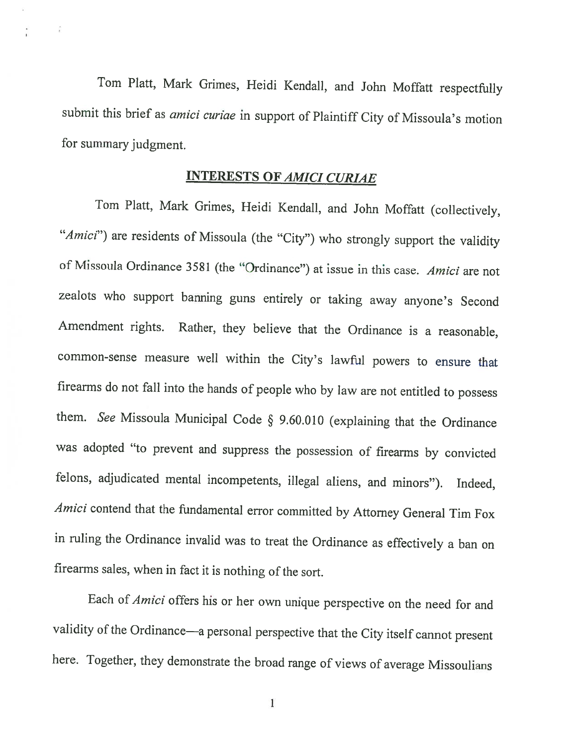Tom Platt, Mark Grimes, Heidi Kendall, and John Moffatt respectfully submit this brief as *amici curiae* in support of Plaintiff City of Missoula's motion for summary judgment.

 $\frac{1}{4}$ 

## INTERESTS OF AMICI CURIAE

Tom Platt, Mark Grimes, Heidi Kendall, and John Moffatt (collectively, "Amici") are residents of Missoula (the "City") who strongly support the validity of Missoula Ordinance 3581 (the "Ordinance") at issue in this case. Amici are not zealots who support banning guns entirely or taking away anyone's Second Amendment rights. Rather, they believe that the Ordinance is <sup>a</sup> reasonable, common-sense measure well within the City's lawful powers to ensure that firearms do not fall into the hands of people who by law are not entitled to possess them. See Missoula Municipal Code § 9.60.010 (explaining that the Ordinance was adopted "to prevent and suppress the possession of firearms by convicted felons, adjudicated mental incompetents, illegal aliens, and minors"). Indeed, Amici contend that the fundamental error committed by Attorney General Tim Fox in ruling the Ordinance invalid was to treat the Ordinance as effectively <sup>a</sup> ban on firearms sales, when in fact it is nothing of the sort.

Each of Amici offers his or her own unique perspective on the need for and validity of the Ordinance—a personal perspective that the City itself cannot present here. Together, they demonstrate the broad range of views of average Missoulians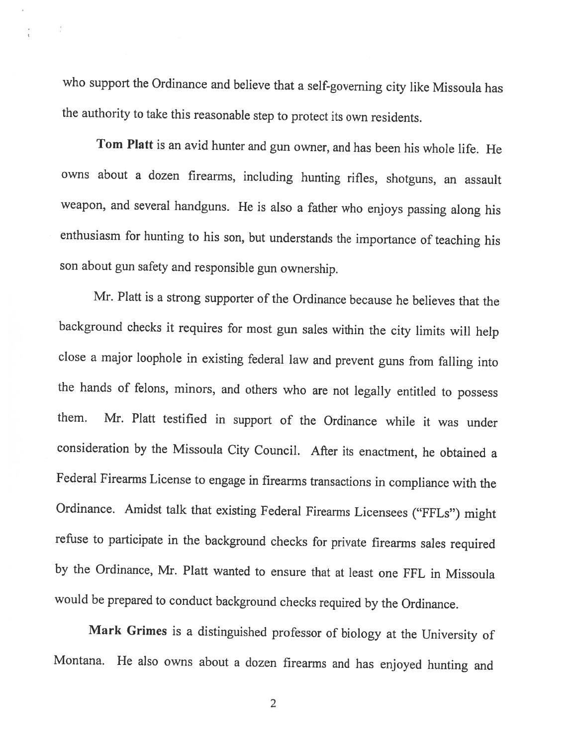who support the Ordinance and believe that <sup>a</sup> self-governing city like Missoula has the authority to take this reasonable step to protect its own residents.

ÿ

Tom Platt is an avid hunter and gun owner, and has been his whole life. He owns about <sup>a</sup> dozen firearms, including hunting rifles, shotguns, an assault weapon, and several handguns. He is also <sup>a</sup> father who enjoys passing along his enthusiasm for hunting to his son, but understands the importance of teaching his son about gun safety and responsible gun ownership.

Mr. Platt is <sup>a</sup> strong supporter of the Ordinance because he believes that the background checks it requires for most gun sales within the city limits will help close <sup>a</sup> major loophole in existing federal law and prevent guns from falling into the hands of felons, minors, and others who are not legally entitled to possess them. Mr. Platt testified in support of the Ordinance while it was under consideration by the Missoula City Council. After its enactment, he obtained <sup>a</sup> Federal Firearms License to engage in firearms transactions in compliance with the Ordinance. Amidst talk that existing Federal Firearms Licensees ("FfLs") might refuse to participate in the background checks for private firearms sales required by the Ordinance, Mr. Platt wanted to ensure that at least one FFL in Missoula would be prepared to conduct background checks required by the Ordinance.

Mark Grimes is <sup>a</sup> distinguished professor of biology at the University of Montana. He also owns about <sup>a</sup> dozen firearms and has enjoyed hunting and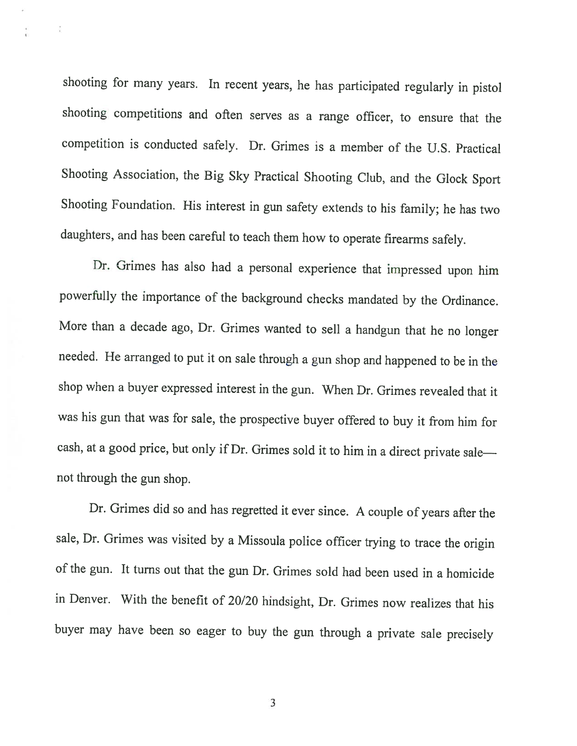shooting for many years. In recent years, he has participated regularly in <sup>p</sup>istol shooting competitions and often serves as <sup>a</sup> range officer, to ensure that the competition is conducted safely. Dr. Grimes is <sup>a</sup> member of the U.S. Practical Shooting Association, the Big Sky Practical Shooting Club, and the Glock Sport Shooting Foundation. His interest in gun safety extends to his family; he has two daughters, and has been careful to teach them how to operate firearms safely.

 $\frac{1}{k}$ 

Dr. Grimes has also had <sup>a</sup> personal experience that impressed upon him powerfully the importance of the background checks mandated by the Ordinance. More than <sup>a</sup> decade ago, Dr. Grimes wanted to sell <sup>a</sup> handgun that he no longer needed. He arranged to put it on sale through <sup>a</sup> gun shop and happened to be in the shop when <sup>a</sup> buyer expressed interest in the gun. When Dr. Grimes revealed that it was his gun that was for sale, the prospective buyer offered to buy it from him for cash, at <sup>a</sup> good price, but only if Dr. Grimes sold it to him in <sup>a</sup> direct private sale not through the gun shop.

Dr. Grimes did so and has regretted it ever since. <sup>A</sup> couple of years afler the sale, Dr. Grimes was visited by <sup>a</sup> Missoula police officer trying to trace the origin of the gun. It turns out that the gun Dr. Grimes sold had been used in <sup>a</sup> homicide in Denver. With the benefit of 20/20 hindsight, Dr. Grimes now realizes that his buyer may have been so eager to buy the gun through <sup>a</sup> private sale precisely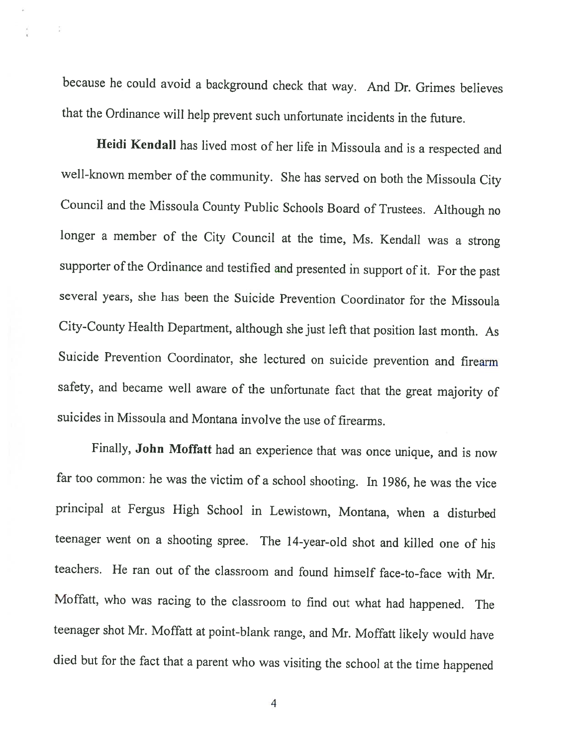because he could avoid <sup>a</sup> background check that way. And Dr. Grimes believes that the Ordinance will help prevent such unfortunate incidents in the future.

Heidi Kendall has lived most of her life in Missoula and is <sup>a</sup> respected and well-known member of the community. She has served on both the Missoula City Council and the Missoula County Public Schools Board of Trustees. Although no longer <sup>a</sup> member of the City Council at the time, Ms. Kendall was <sup>a</sup> strong supporter of the Ordinance and testified and presented in support of it. For the past several years, she has been the Suicide Prevention Coordinator for the Missoula City-County Health Department, although she just left that position last month. As Suicide Prevention Coordinator, she lectured on suicide prevention and firearm safety, and became well aware of the unfortunate fact that the great majority of suicides in Missoula and Montana involve the use of firearms.

Finally, John Moffatt had an experience that was once unique, and is now far too common: he was the victim of <sup>a</sup> school shooting. In 1986, he was the vice principal at Fergus High School in Lewistown, Montana, when <sup>a</sup> disturbed teenager went on <sup>a</sup> shooting spree. The 14-year-old shot and killed one of his teachers. He ran out of the classroom and found himself face-to-face with Mr. Moffatt, who was racing to the classroom to find out what had happened. The teenager shot Mr. Moffatt at point-blank range, and Mr. Moffatt likely would have died but for the fact that <sup>a</sup> parent who was visiting the school at the time happened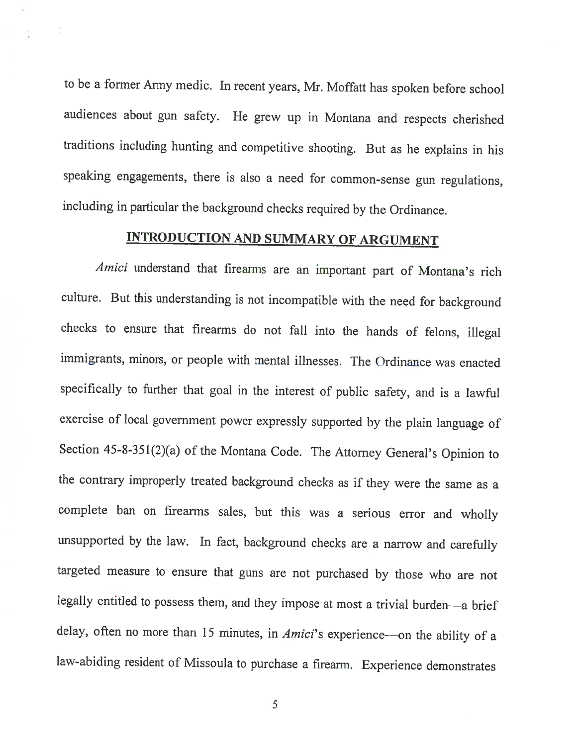to be <sup>a</sup> former Army medic. In recent years, Mr. Moffatt has spoken before school audiences about gun safety. He grew up in Montana and respects cherished traditions including hunting and competitive shooting. But as he explains in his speaking engagements, there is also <sup>a</sup> need for common-sense gun regulations, including in particular the background checks required by the Ordinance.

 $\frac{1}{\pi}$ 

## INTRODUCTION AND SUMMARY Of ARGUMENT

Amici understand that firearms are an important part of Montana's rich culture. But this understanding is not incompatible with the need for background checks to ensure that firearms do not fall into the hands of felons, illegal immigrants, minors, or people with mental illnesses. The Ordinance was enacted specifically to further that goal in the interest of public safety, and is <sup>a</sup> lawful exercise of local government power expressly supported by the <sup>p</sup>lain language of Section 45-8-35 l(2)(a) of the Montana Code. The Attorney General's Opinion to the contrary improperly treated background checks as if they were the same as <sup>a</sup> complete ban on firearms sales, but this was <sup>a</sup> serious error and wholly unsupported by the law. In fact, background checks are <sup>a</sup> narrow and carefully targeted measure to ensure that guns are not purchased by those who are not legally entitled to possess them, and they impose at most <sup>a</sup> trivial burden—a brief delay, often no more than 15 minutes, in *Amici*'s experience—on the ability of a law-abiding resident of Missoula to purchase <sup>a</sup> firearm. Experience demonstrates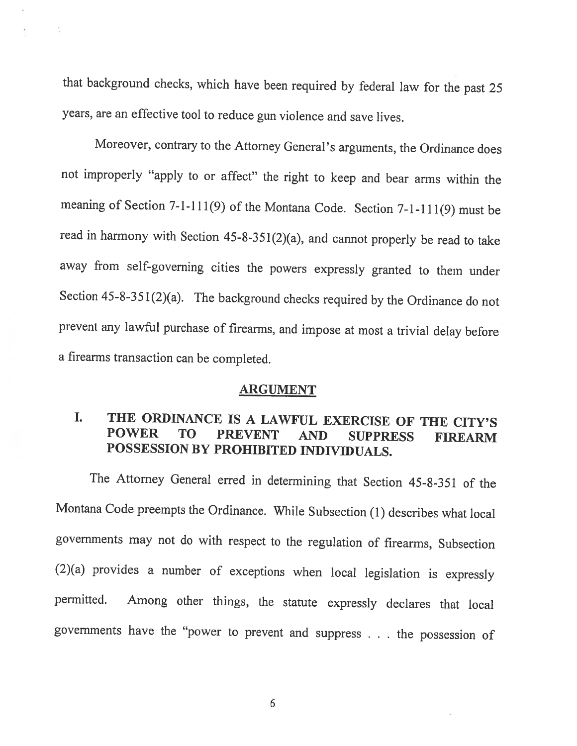that background checks, which have been required by federal law for the past <sup>25</sup> years, are an effective tool to reduce gun violence and save lives.

 $\frac{1}{12}$ 

Moreover, contrary to the Attorney General's arguments, the Ordinance does not improperly "apply to or affect" the right to keep and bear arms within the meaning of Section 7-1-111(9) of the Montana Code. Section 7-1-111(9) must be read in harmony with Section 45-8-351(2)(a), and cannot properly be read to take away from self-governing cities the powers expressly granted to them under Section 45-8-351(2)(a). The background checks required by the Ordinance do not prevent any lawful purchase of firearms, and impose at most <sup>a</sup> trivial delay before <sup>a</sup> firearms transaction can be completed.

#### ARGUMENT

### I. THE ORDINANCE IS <sup>A</sup> LAWFUL EXERCISE OF THE CITY'S POWER TO PREVENT AND SUPPRESS FIREARM POSSESSION BY PROHIBITED INDIVIDUALS.

The Attorney General erred in determining that Section 45-8-351 of the Montana Code preempts the Ordinance. While Subsection (1) describes what local governments may not do with respect to the regulation of firearms, Subsection (2)(a) provides <sup>a</sup> number of exceptions when local legislation is expressly permitted. Among other things, the statute expressly declares that local governments have the "power to prevent and suppress . . . the possession of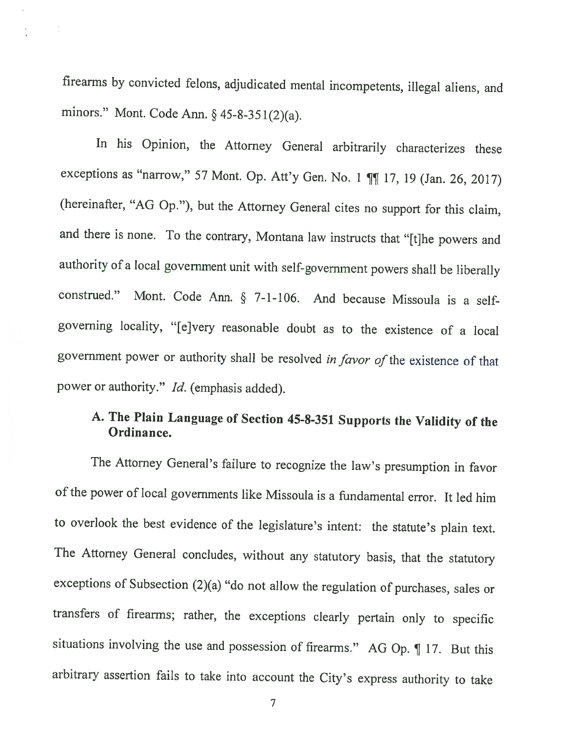firearms by convicted felons, adjudicated mental incompetents, illegal aliens, and minors." Mont. Code Ann. § 45-8-351(2)(a).

동

In his Opinion, the Attorney General arbitrarily characterizes these exceptions as "narrow," 57 Mont. Op. Att'y Gen. No. 1  $\P\P$  17, 19 (Jan. 26, 2017) (hereinafter, "AG Op."), but the Attorney General cites no support for this claim, and there is none. To the contrary, Montana law instructs that "[t]he powers and authority of <sup>a</sup> local government unit with self-government powers shall be liberally construed." Mont. Code Ann. § 7-1-106. And because Missoula is <sup>a</sup> selfgoverning locality, "[e]very reasonable doubt as to the existence of <sup>a</sup> local government power or authority shall be resolved in favor of the existence of that power or authority." *Id.* (emphasis added).

# A. The Plain Language of Section 45-8-351 Supports the Validity of the Ordinance.

The Attorney General's failure to recognize the law's presumption in favor of the power of local governments like Missoula is <sup>a</sup> fundamental error. It led him to overlook the best evidence of the legislature's intent: the statute's <sup>p</sup>lain text. The Attorney General concludes, without any statutory basis, that the statutory exceptions of Subsection (2)(a) "do not allow the regulation of purchases, sales or transfers of firearms; rather, the exceptions clearly pertain only to specific situations involving the use and possession of firearms." AG Op. ¶ 17. But this arbitrary assertion fails to take into account the City's express authority to take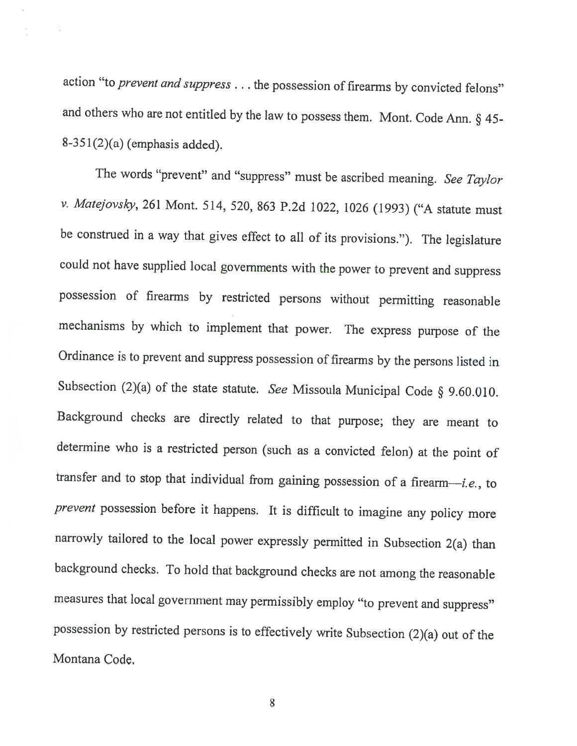action "to prevent and suppress . . . the possession of firearms by convicted felons" and others who are not entitled by the law to possess them. Mont. Code Ann. § 45- 8-351(2)(a) (emphasis added).

ţ.

The words "prevent" and "suppress" must be ascribed meaning. See Taylor v. Matejovsky, <sup>261</sup> Mont. 514, 520, <sup>863</sup> P.2d 1022, <sup>1026</sup> (1993) ("A statute must be construed in <sup>a</sup> way that <sup>g</sup>ives effect to all of its provisions."). The legislature could not have supplied local governments with the power to prevent and suppress possession of firearms by restricted persons without permitting reasonable mechanisms by which to implement that power. The express purpose of the Ordinance is to prevent and suppress possession of firearms by the persons listed in Subsection (2)(a) of the state statute. See Missoula Municipal Code  $\S$  9.60.010. Background checks are directly related to that purpose; they are meant to determine who is <sup>a</sup> restricted person (such as <sup>a</sup> convicted felon) at the point of transfer and to stop that individual from gaining possession of <sup>a</sup> firearm—i.e., to prevent possession before it happens. It is difficult to imagine any policy more narrowly tailored to the local power expressly permitted in Subsection 2(a) than background checks. To hold that background checks are not among the reasonable measures that local government may permissibly employ "to prevent and suppress" possession by restricted persons is to effectively write Subsection (2)(a) out of the Montana Code.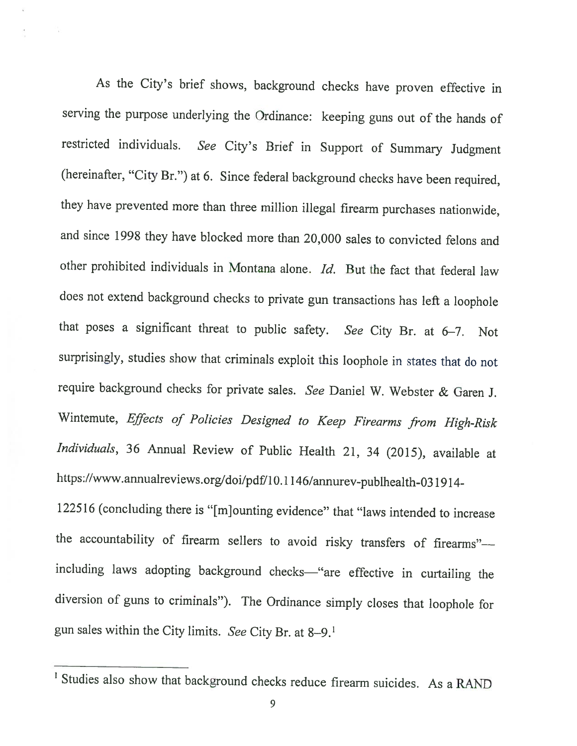As the City's brief shows, background checks have proven effective in serving the purpose underlying the Ordinance: keeping guns out of the hands of restricted individuals. See City's Brief in Support of Summary Judgment (hereinafter, "City Br.") at 6. Since federal background checks have been required, they have prevented more than three million illegal firearm purchases nationwide, and since <sup>1998</sup> they have blocked more than 20,000 sales to convicted felons and other prohibited individuals in Montana alone. Id. But the fact that federal law does not extend background checks to private gun transactions has left <sup>a</sup> loophole that poses <sup>a</sup> significant threat to public safety. See City Br. at 6—7. Not surprisingly, studies show that criminals exploit this loophole in states that do not require background checks for private sales. See Daniel W. Webster & Garen J. Wintemute, Effects of Policies Designed to Keep Firearms from High-Risk Individuals, <sup>36</sup> Annual Review of Public Health 21, <sup>34</sup> (2015), available at https://www.annualreviews.org/doi/pdf/10.1146/annurev-publhealth-031914-

<sup>122516</sup> (concluding there is "[m]ounting evidence" that "laws intended to increase the accountability of firearm sellers to avoid risky transfers of firearms" including laws adopting background checks—"are effective in curtailing the diversion of guns to criminals"). The Ordinance simply closes that loophole for gun sales within the City limits. See City Br. at 8—9.'

<sup>&</sup>lt;sup>1</sup> Studies also show that background checks reduce firearm suicides. As a RAND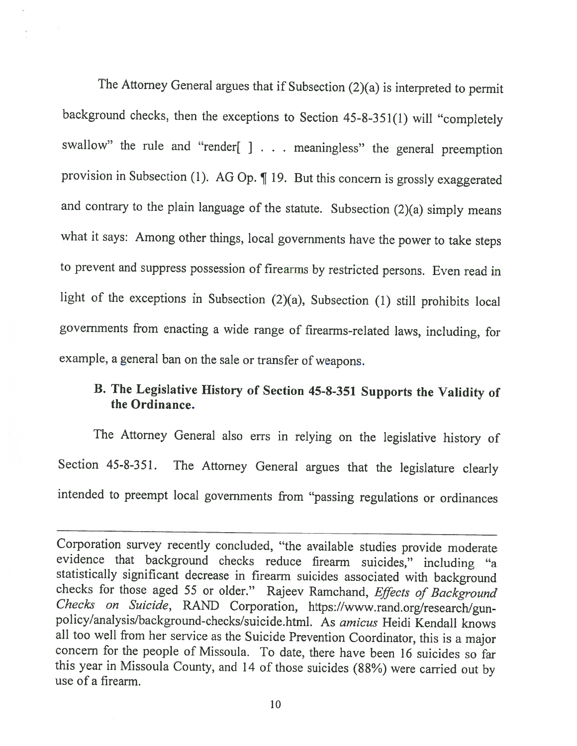The Attorney General argues that if Subsection (2)(a) is interpreted to permit background checks, then the exceptions to Section 45-8-351(1) will "completely swallow" the rule and "render[ ] . . . meaningless" the general preemption provision in Subsection (1). AG Op. ¶ 19. But this concern is grossly exaggerated and contrary to the <sup>p</sup>lain language of the statute. Subsection (2)(a) simply means what it says: Among other things, local governments have the power to take steps to prevent and suppress possession of firearms by restricted persons. Even read in light of the exceptions in Subsection (2)(a), Subsection (1) still prohibits local governments from enacting <sup>a</sup> wide range of firearms-related laws, including, for example, <sup>a</sup> general ban on the sale or transfer of weapons.

# B. The Legislative History of Section 45-8-351 Supports the Validity of the Ordinance.

The Attorney General also errs in relying on the legislative history of Section 45-8-351. The Attorney General argues that the legislature clearly intended to preempt local governments from "passing regulations or ordinances

Corporation survey recently concluded, "the available studies provide moderate evidence that background checks reduce firearm suicides," including "a statistically significant decrease in firearm suicides associated with background checks for those aged 55 or older." Rajeev Ramchand, *Effects of Background Checks on Suicide*, RAND Corporation, https://www.rand.org/resea all too well from her service as the Suicide Prevention Coordinator, this is <sup>a</sup> major concern for the people of Missoula. To date, there have been 16 suicides so far this year in Missoula County, and <sup>14</sup> of those suicides (88%) were carried out by use of <sup>a</sup> firearm.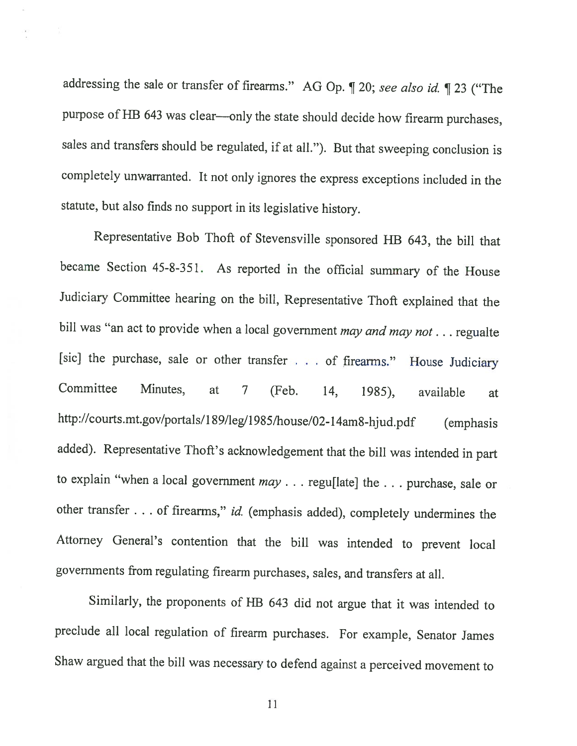addressing the sale or transfer of firearms." AG Op. ¶ 20; see also id. ¶ <sup>23</sup> ("The purpose of HB <sup>643</sup> was clear—only the state should decide how firearm purchases, sales and transfers should be regulated, if at all."). But that sweeping conclusion is completely unwarranted. It not only ignores the express exceptions included in the statute, but also finds no support in its legislative history.

Representative Bob Thoft of Stevensville sponsored HB 643, the bill that became Section 45-8-351. As reported in the official summary of the House Judiciary Committee hearing on the bill, Representative Thoft explained that the bill was "an act to provide when a local government may and may not . . . regualte [sic] the purchase, sale or other transfer . . . of firearms." House Judiciary Committee Minutes, at <sup>7</sup> (feb. 14, 1985), available at http://courts.mt.gov/portals/189/leg/1985/house/02-14am8-hjud.pdf (emphasis added). Representative Thoft's acknowledgement that the bill was intended in part to explain "when a local government may . . . regu[late] the . . . purchase, sale or other transfer . . . of firearms," id. (emphasis added), completely undermines the Attorney General's contention that the bill was intended to prevent local governments from regulating firearm purchases, sales, and transfers at all.

Similarly, the proponents of HB <sup>643</sup> did not argue that it was intended to preclude all local regulation of firearm purchases. For example, Senator James Shaw argued that the bill was necessary to defend against <sup>a</sup> perceived movement to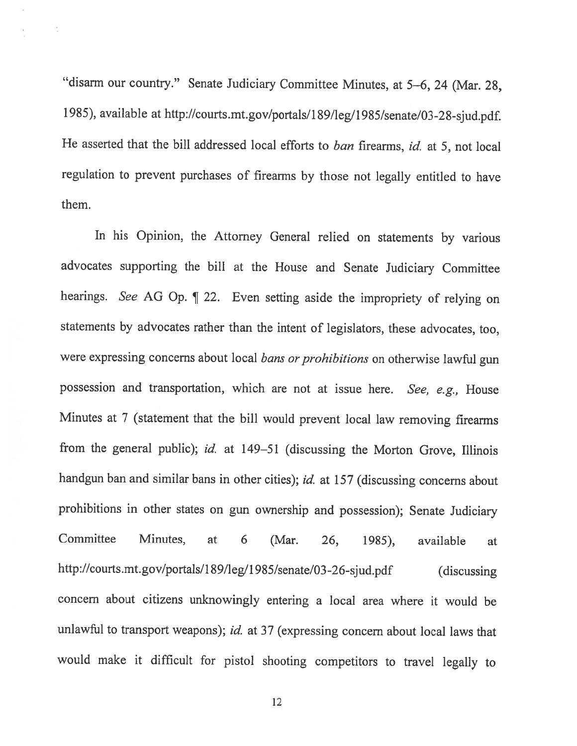"disarm our country." Senate Judiciary Committee Minutes, at 5—6, <sup>24</sup> (Mar. 2\$, 1985), available at http://courts.mt.gov/portals/189/leg/1985/senate/03-28-sjud.pdf. He asserted that the bill addressed local efforts to ban firearms, id. at 5, not local regulation to prevent purchases of firearms by those not legally entitled to have them.

÷,

In his Opinion, the Attorney General relied on statements by various advocates supporting the bill at the House and Senate Judiciary Committee hearings. See AG Op. ¶ 22. Even setting aside the impropriety of relying on statements by advocates rather than the intent of legislators, these advocates, too, were expressing concerns about local bans or prohibitions on otherwise lawful gun possession and transportation, which are not at issue here. See, e.g., House Minutes at <sup>7</sup> (statement that the bill would prevent local law removing firearms from the general public); id. at 149-51 (discussing the Morton Grove, Illinois handgun ban and similar bans in other cities); id. at 157 (discussing concerns about prohibitions in other states on gun ownership and possession); Senate Judiciary Committee Minutes, at <sup>6</sup> (Mar. 26, 1985), available at http://courts.mt.gov/portals/189/leg/1985/senate/03-26-sjud.pdf (discussing concern about citizens unknowingly entering <sup>a</sup> local area where it would be unlawful to transport weapons); id. at 37 (expressing concern about local laws that would make it difficult for <sup>p</sup>istol shooting competitors to travel legally to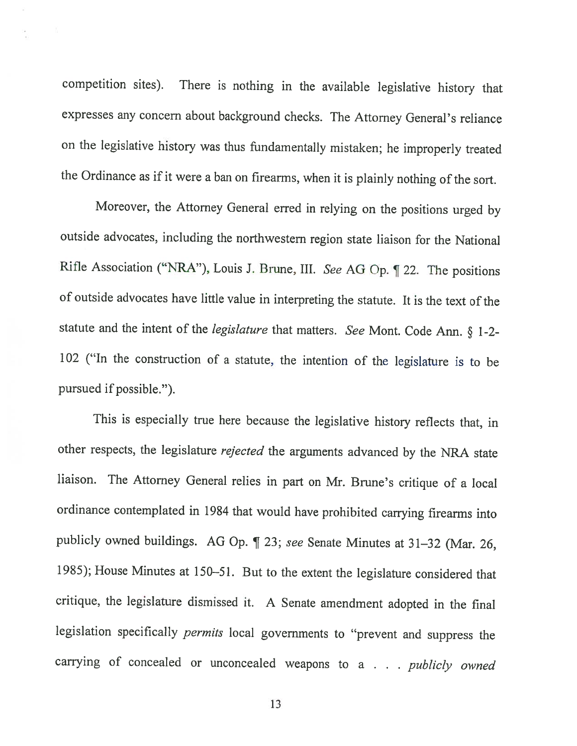competition sites). There is nothing in the available legislative history that expresses any concern about background checks. The Attorney General's reliance on the legislative history was thus fundamentally mistaken; he improperly treated the Ordinance as if it were <sup>a</sup> ban on firearms, when it is <sup>p</sup>lainly nothing of the sort.

Moreover, the Attorney General erred in relying on the positions urged by outside advocates, including the northwestern region state liaison for the National Rifle Association ("NRA"), Louis I. Brune, III. See AG Op. ¶ 22. The positions of outside advocates have little value in interpreting the statute. It is the text of the statute and the intent of the legislature that matters. See Mont. Code Ann. § 1-2- <sup>102</sup> ("In the construction of <sup>a</sup> statute, the intention of the legislature is to be pursued if possible.").

This is especially true here because the legislative history reflects that, in other respects, the legislature rejected the arguments advanced by the NRA state liaison. The Attorney General relies in part on Mr. Brune's critique of <sup>a</sup> local ordinance contemplated in <sup>1984</sup> that would have prohibited carrying firearms into publicly owned buildings. AG Op. ¶ 23; see Senate Minutes at 31—32 (Mar. 26, 1985); House Minutes at 150—51. But to the extent the legislature considered that critique, the legislature dismissed it. <sup>A</sup> Senate amendment adopted in the final legislation specifically permits local governments to "prevent and suppress the carrying of concealed or unconcealed weapons to a . . . publicly owned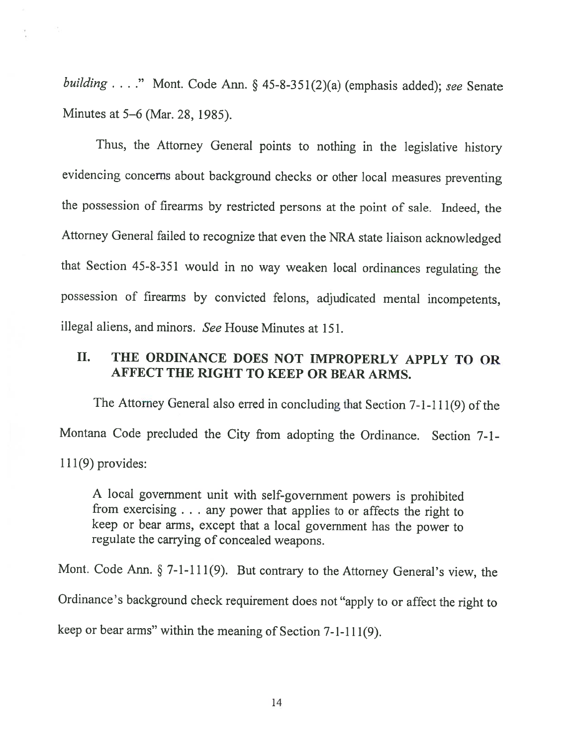building . . . ." Mont. Code Ann. § 45-8-351(2)(a) (emphasis added); see Senate Minutes at 5—6 (Mar. 28, 1985).

 $\mathcal{D}_{\mathcal{D}}$ 

Thus, the Attorney General points to nothing in the legislative history evidencing concerns about background checks or other local measures preventing the possession of firearms by restricted persons at the point of sale. Indeed, the Attorney General failed to recognize that even the NRA state liaison acknowledged that Section 45-8-351 would in no way weaken local ordinances regulating the possession of firearms by convicted felons, adjudicated mental incompetents, illegal aliens, and minors. See House Minutes at 151.

#### II. THE ORDINANCE DOES NOT IMPROPERLY APPLY TO OR AFFECT THE RIGHT TO KEEP OR BEAR ARMS.

The Attorney General also erred in concluding that Section  $7-1-111(9)$  of the Montana Code precluded the City from adopting the Ordinance. Section 7-1-  $11(9)$  provides:

<sup>A</sup> local government unit with self-government powers is prohibited from exercising . . . any power that applies to or affects the right to keep or bear arms, except that <sup>a</sup> local government has the power to regulate the carrying of concealed weapons.

Mont. Code Ann. § 7-1-111(9). But contrary to the Attorney General's view, the Ordinance's background check requirement does not "apply to or affect the right to keep or bear arms" within the meaning of Section 7-1-111(9).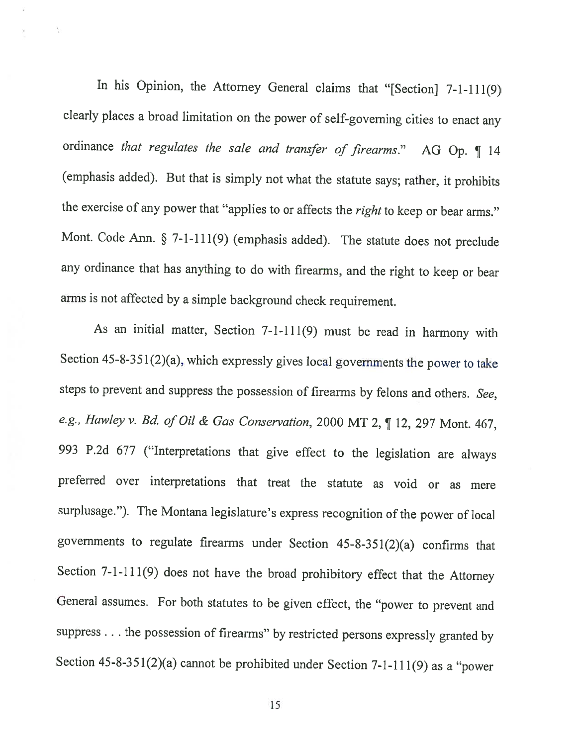In his Opinion, the Attorney General claims that "[Section] 7-1-111(9) clearly <sup>p</sup>laces <sup>a</sup> broad limitation on the power of self-governing cities to enact any ordinance that regulates the sale and transfer of firearms." AG Op. 14 (emphasis added). But that is simply not what the statute says; rather, it prohibits the exercise of any power that "applies to or affects the right to keep or bear arms." Mont. Code Ann. § 7-1-111(9) (emphasis added). The statute does not preclude any ordinance that has anything to do with firearms, and the right to keep or bear arms is not affected by <sup>a</sup> simple background check requirement.

÷,

As an initial matter, Section 7-1-111(9) must be read in harmony with Section  $45-8-351(2)(a)$ , which expressly gives local governments the power to take steps to prevent and suppress the possession of firearms by felons and others. See, e.g., Hawley v. Bd. of Oil & Gas Conservation, 2000 MT 2, 112, 297 Mont. 467, <sup>993</sup> P.2d <sup>677</sup> ("Interpretations that <sup>g</sup>ive effect to the legislation are always preferred over interpretations that treat the statute as void or as mere surplusage."). The Montana legislature's express recognition of the power of local governments to regulate firearms under Section  $45-8-351(2)(a)$  confirms that Section 7-1-1 11(9) does not have the broad prohibitory effect that the Attorney General assumes. For both statutes to be <sup>g</sup>iven effect, the "power to prevent and suppress. . . the possession of firearms" by restricted persons expressly granted by Section 45-8-351(2)(a) cannot be prohibited under Section 7-1-111(9) as <sup>a</sup> "power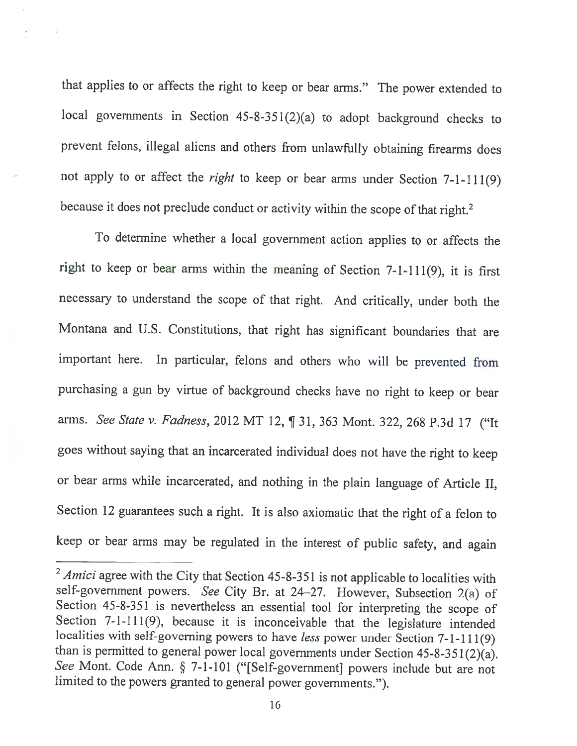that applies to or affects the right to keep or bear arms." The power extended to local governments in Section 45-8-351(2)(a) to adopt background checks to prevent felons, illegal aliens and others from unlawfully obtaining firearms does not apply to or affect the right to keep or bear arms under Section 7-1-111(9) because it does not preclude conduct or activity within the scope of that right.<sup>2</sup>

To determine whether <sup>a</sup> local government action applies to or affects the right to keep or bear arms within the meaning of Section  $7-1-111(9)$ , it is first necessary to understand the scope of that right. And critically, under both the Montana and U.S. Constitutions, that right has significant boundaries that are important here. In particular, felons and others who will be prevented from purchasing <sup>a</sup> gun by virtue of background checks have no right to keep or bear arms. See State v. Fadness, 2012 MT 12, ¶ 31, 363 Mont. 322, 268 P.3d 17 ("It goes without saying that an incarcerated individual does not have the right to keep or bear arms while incarcerated, and nothing in the <sup>p</sup>lain language of Article II, Section <sup>12</sup> guarantees such <sup>a</sup> right. It is also axiomatic that the right of <sup>a</sup> felon to keep or bear arms may be regulated in the interest of public safety, and again

 $2$  Amici agree with the City that Section 45-8-351 is not applicable to localities with self-government powers. See City Br. at 24—27. However, Subsection 2(a) of Section 45-8-351 is nevertheless an essential tool for interpreting the scope of Section 7-1-111(9), because it is inconceivable that the legislature intended localities with self-governing powers to have less power under Section 7-1-1 11(9) than is permitted to general power local governments under Section 45-8-351(2)(a). See Mont. Code Ann. § 7-1-101 ("[Self-government] powers include but are not limited to the powers granted to general power governments.").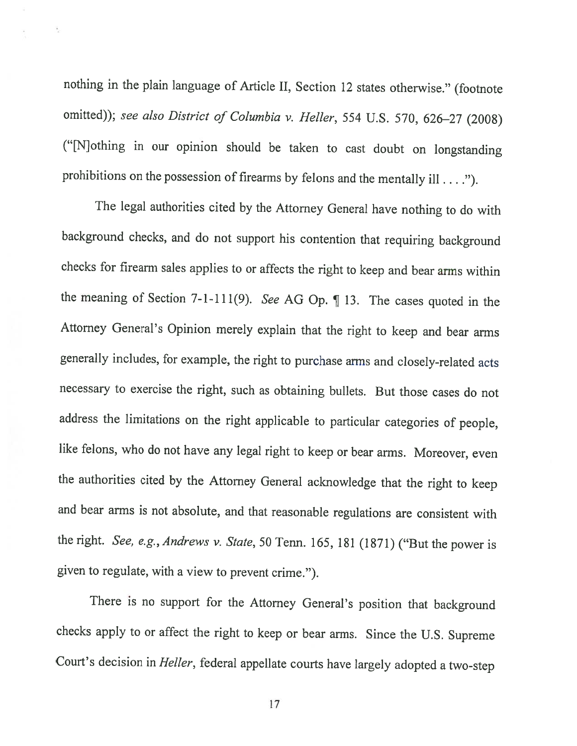nothing in the <sup>p</sup>lain language of Article II, Section <sup>12</sup> states otherwise." (footnote omitted)); see also District of Columbia v. Heller, 554 U.S. 570, 626-27 (2008) ("[N]othing in our opinion should be taken to cast doubt on longstanding prohibitions on the possession of firearms by felons and the mentally ill . . . .").

 $\frac{1}{\mu}$ 

The legal authorities cited by the Attorney General have nothing to do with background checks, and do not support his contention that requiring background checks for firearm sales applies to or affects the right to keep and bear arms within the meaning of Section 7-1-111(9). See AG Op. ¶ 13. The cases quoted in the Attorney General's Opinion merely explain that the right to keep and bear arms generally includes, for example, the right to purchase arms and closely-related acts necessary to exercise the right, such as obtaining bullets. But those cases do not address the limitations on the right applicable to particular categories of people, like felons, who do not have any legal right to keep or bear arms. Moreover, even the authorities cited by the Attorney General acknowledge that the right to keep and bear arms is not absolute, and that reasonable regulations are consistent with the right. See, e.g., Andrews v. State, 50 Tenn. 165, 181 (1871) ("But the power is <sup>g</sup>iven to regulate, with <sup>a</sup> view to prevent crime.").

There is no support for the Attorney General's position that background checks apply to or affect the right to keep or bear arms. Since the U.S. Supreme Court's decision in Heller, federal appellate courts have largely adopted a two-step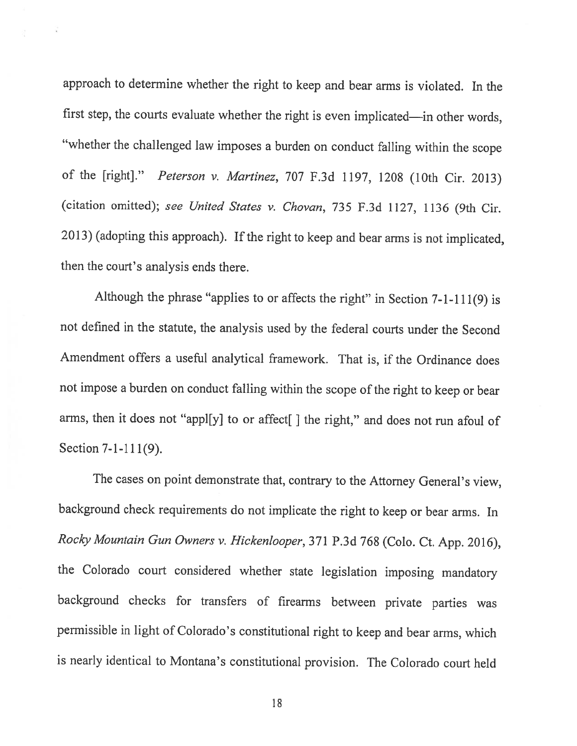approach to determine whether the right to keep and bear arms is violated. In the first step, the courts evaluate whether the right is even implicated—in other words, "whether the challenged law imposes <sup>a</sup> burden on conduct falling within the scope of the [right]." Peterson v. Martinez, <sup>707</sup> F.3d 1197, <sup>1208</sup> (10th Cir. 2013) (citation omitted); see United States v. Chovan, <sup>735</sup> F.3d 1127, <sup>1136</sup> (9th Cir. 2013) (adopting this approach). If the right to keep and bear arms is not implicated, then the court's analysis ends there.

Although the <sup>p</sup>hrase "applies to or affects the right" in Section 7-1-111(9) is not defined in the statute, the analysis used by the federal courts under the Second Amendment offers <sup>a</sup> useful analytical framework. That is, if the Ordinance does not impose a burden on conduct falling within the scope of the right to keep or bear arms, then it does not "appl[y] to or affect[] the right," and does not run afoul of Section 7-1-111(9).

The cases on point demonstrate that, contrary to the Attorney General's view, background check requirements do not implicate the right to keep or bear arms. In Rocky Mountain Gun Owners v. Hickenlooper, 371 P.3d 768 (Colo. Ct. App. 2016), the Colorado court considered whether state legislation imposing mandatory background checks for transfers of firearms between private parties was permissible in light of Colorado's constitutional right to keep and bear arms, which is nearly identical to Montana's constitutional provision. The Colorado court held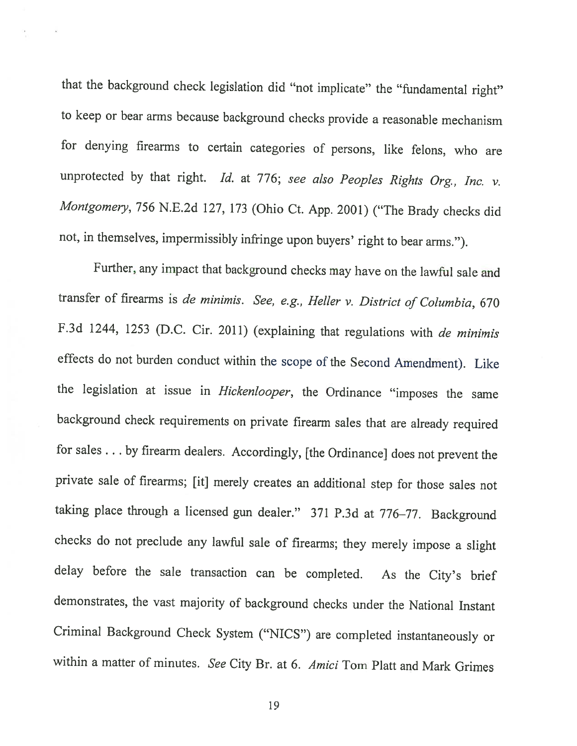that the background check legislation did "not implicate" the "fundamental right" to keep or bear arms because background checks provide <sup>a</sup> reasonable mechanism for denying firearms to certain categories of persons, like felons, who are unprotected by that right. Id. at 776; see also Peoples Rights Org., Inc. v. Montgomery, 756 N.E.2d 127, 173 (Ohio Ct. App. 2001) ("The Brady checks did not, in themselves, impermissibly infringe upon buyers' right to bear arms.").

further, any impact that background checks may have on the lawful sale and transfer of firearms is de minimis. See, e.g., Heller v. District of Columbia, <sup>670</sup> F.3d 1244, 1253 (D.C. Cir. 2011) (explaining that regulations with de minimis effects do not burden conduct within the scope of the Second Amendment). Like the legislation at issue in Hickenlooper, the Ordinance "imposes the same background check requirements on private firearm sales that are already required for sales . . . by firearm dealers. Accordingly, [the Ordinance] does not prevent the private sale of firearms; [it] merely creates an additional step for those sales not taking <sup>p</sup>lace through <sup>a</sup> licensed gun dealer." <sup>371</sup> P.3d at 776—77. Background checks do not preclude any lawful sale of firearms; they merely impose <sup>a</sup> slight delay before the sale transaction can be completed. As the City's brief demonstrates, the vast majority of background checks under the National Instant Criminal Background Check System ("NICS") are completed instantaneously or within a matter of minutes. See City Br. at 6. Amici Tom Platt and Mark Grimes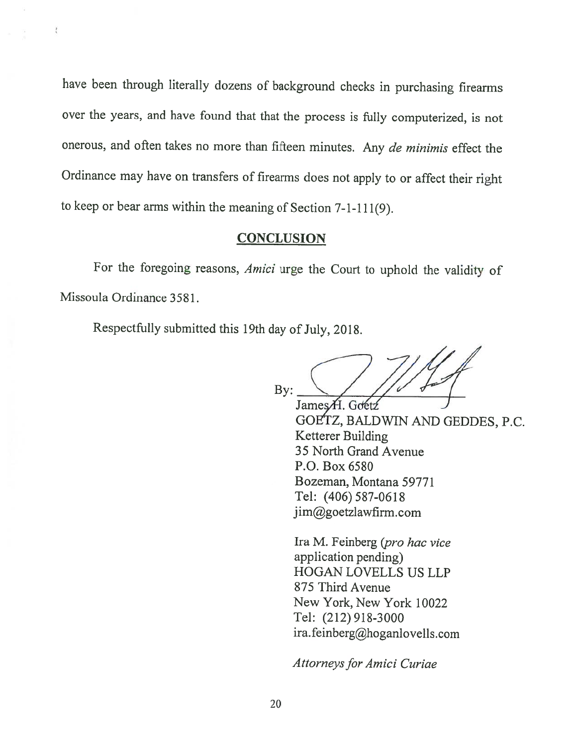have been through literally dozens of background checks in purchasing firearms over the years, and have found that that the process is fully computerized, is not onerous, and often takes no more than fifteen minutes. Any de minimis effect the Ordinance may have on transfers of firearms does not apply to or affect their right to keep or bear arms within the meaning of Section 7-1-1 11(9).

#### **CONCLUSION**

For the foregoing reasons, Amici urge the Court to uphold the validity of Missoula Ordinance 3581.

Respectfully submitted this 19th day of July, 2018.

 $\frac{1}{\lambda}$ 

By:  $\bigvee$  / /  $\bigvee$  d  $\bigwedge$ JamesA. Gdetź

GOE'fZ, BALDWIN AND GEDDES, P.C. Ketterer Building 35 North Grand Avenue P.O. Box 6520 Bozeman, Montana 59771 Tel: (406) 587-0618 jim@goetzlawfirm.com

Ira M. Feinberg (pro hac vice application pending) HOGAN LOVELLS US LLP 875 Third Avenue New York, New York 10022 Tel: (212) 918-3000 ira.feinberg@hoganlovells.com

Attorneys for Amici Curiae